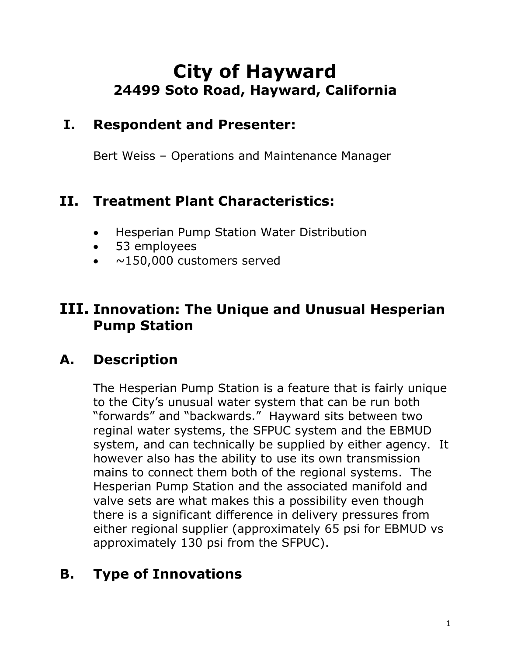# **City of Hayward 24499 Soto Road, Hayward, California**

#### **I. Respondent and Presenter:**

Bert Weiss – Operations and Maintenance Manager

#### **II. Treatment Plant Characteristics:**

- Hesperian Pump Station Water Distribution
- 53 employees
- ~150,000 customers served

#### **III. Innovation: The Unique and Unusual Hesperian Pump Station**

# **A. Description**

The Hesperian Pump Station is a feature that is fairly unique to the City's unusual water system that can be run both "forwards" and "backwards." Hayward sits between two reginal water systems, the SFPUC system and the EBMUD system, and can technically be supplied by either agency. It however also has the ability to use its own transmission mains to connect them both of the regional systems. The Hesperian Pump Station and the associated manifold and valve sets are what makes this a possibility even though there is a significant difference in delivery pressures from either regional supplier (approximately 65 psi for EBMUD vs approximately 130 psi from the SFPUC).

# **B. Type of Innovations**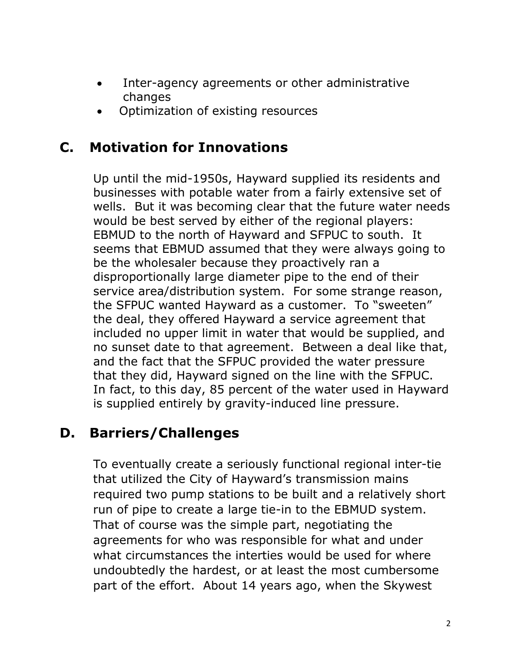- Inter-agency agreements or other administrative changes
- Optimization of existing resources

#### **C. Motivation for Innovations**

Up until the mid-1950s, Hayward supplied its residents and businesses with potable water from a fairly extensive set of wells. But it was becoming clear that the future water needs would be best served by either of the regional players: EBMUD to the north of Hayward and SFPUC to south. It seems that EBMUD assumed that they were always going to be the wholesaler because they proactively ran a disproportionally large diameter pipe to the end of their service area/distribution system. For some strange reason, the SFPUC wanted Hayward as a customer. To "sweeten" the deal, they offered Hayward a service agreement that included no upper limit in water that would be supplied, and no sunset date to that agreement. Between a deal like that, and the fact that the SFPUC provided the water pressure that they did, Hayward signed on the line with the SFPUC. In fact, to this day, 85 percent of the water used in Hayward is supplied entirely by gravity-induced line pressure.

# **D. Barriers/Challenges**

To eventually create a seriously functional regional inter-tie that utilized the City of Hayward's transmission mains required two pump stations to be built and a relatively short run of pipe to create a large tie-in to the EBMUD system. That of course was the simple part, negotiating the agreements for who was responsible for what and under what circumstances the interties would be used for where undoubtedly the hardest, or at least the most cumbersome part of the effort. About 14 years ago, when the Skywest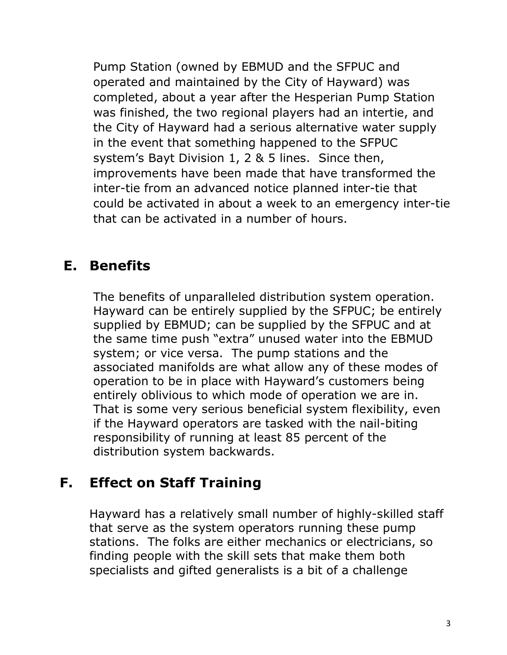Pump Station (owned by EBMUD and the SFPUC and operated and maintained by the City of Hayward) was completed, about a year after the Hesperian Pump Station was finished, the two regional players had an intertie, and the City of Hayward had a serious alternative water supply in the event that something happened to the SFPUC system's Bayt Division 1, 2 & 5 lines. Since then, improvements have been made that have transformed the inter-tie from an advanced notice planned inter-tie that could be activated in about a week to an emergency inter-tie that can be activated in a number of hours.

#### **E. Benefits**

The benefits of unparalleled distribution system operation. Hayward can be entirely supplied by the SFPUC; be entirely supplied by EBMUD; can be supplied by the SFPUC and at the same time push "extra" unused water into the EBMUD system; or vice versa. The pump stations and the associated manifolds are what allow any of these modes of operation to be in place with Hayward's customers being entirely oblivious to which mode of operation we are in. That is some very serious beneficial system flexibility, even if the Hayward operators are tasked with the nail-biting responsibility of running at least 85 percent of the distribution system backwards.

# **F. Effect on Staff Training**

Hayward has a relatively small number of highly-skilled staff that serve as the system operators running these pump stations. The folks are either mechanics or electricians, so finding people with the skill sets that make them both specialists and gifted generalists is a bit of a challenge